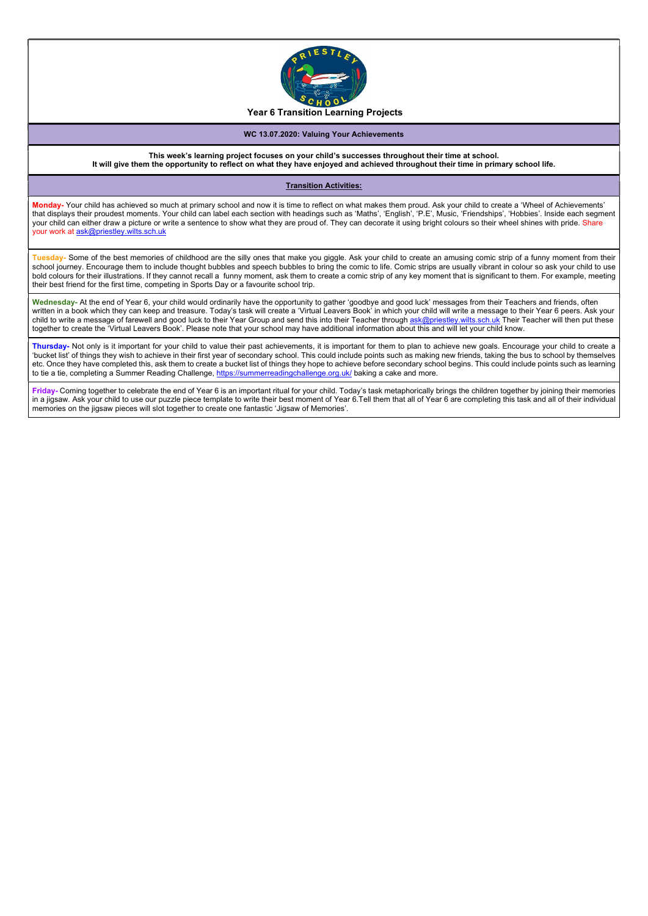

## WC 13.07.2020: Valuing Your Achievements

This week's learning project focuses on your child's successes throughout their time at school. It will give them the opportunity to reflect on what they have enjoyed and achieved throughout their time in primary school life.

## Transition Activities:

Monday- Your child has achieved so much at primary school and now it is time to reflect on what makes them proud. Ask your child to create a 'Wheel of Achievements' that displays their proudest moments. Your child can label each section with headings such as 'Maths', 'English', 'P.E', Music, 'Friendships', 'Hobbies'. Inside each segment your child can either draw a picture or write a sentence to show what they are proud of. They can decorate it using bright colours so their wheel shines with pride. Share your work at ask@priestley.wilts.sch.uk

Tuesday- Some of the best memories of childhood are the silly ones that make you giggle. Ask your child to create an amusing comic strip of a funny moment from their school journey. Encourage them to include thought bubbles and speech bubbles to bring the comic to life. Comic strips are usually vibrant in colour so ask your child to use bold colours for their illustrations. If they cannot recall a funny moment, ask them to create a comic strip of any key moment that is significant to them. For example, meeting their best friend for the first time, competing in Sports Day or a favourite school trip.

Wednesday- At the end of Year 6, your child would ordinarily have the opportunity to gather 'goodbye and good luck' messages from their Teachers and friends, often written in a book which they can keep and treasure. Today's task will create a 'Virtual Leavers Book' in which your child will write a message to their Year 6 peers. Ask your child to write a message of farewell and good luck to their Year Group and send this into their Teacher through ask@priestley.wilts.sch.uk Their Teacher will then put these together to create the 'Virtual Leavers Book'. Please note that your school may have additional information about this and will let your child know.

Thursday- Not only is it important for your child to value their past achievements, it is important for them to plan to achieve new goals. Encourage your child to create a 'bucket list' of things they wish to achieve in their first year of secondary school. This could include points such as making new friends, taking the bus to school by themselves etc. Once they have completed this, ask them to create a bucket list of things they hope to achieve before secondary school begins. This could include points such as learning to tie a tie, completing a Summer Reading Challenge, https://summerreadingchallenge.org.uk/ baking a cake and more.

Friday- Coming together to celebrate the end of Year 6 is an important ritual for your child. Today's task metaphorically brings the children together by joining their memories in a jigsaw. Ask your child to use our puzzle piece template to write their best moment of Year 6.Tell them that all of Year 6 are completing this task and all of their individual memories on the jigsaw pieces will slot together to create one fantastic 'Jigsaw of Memories'.